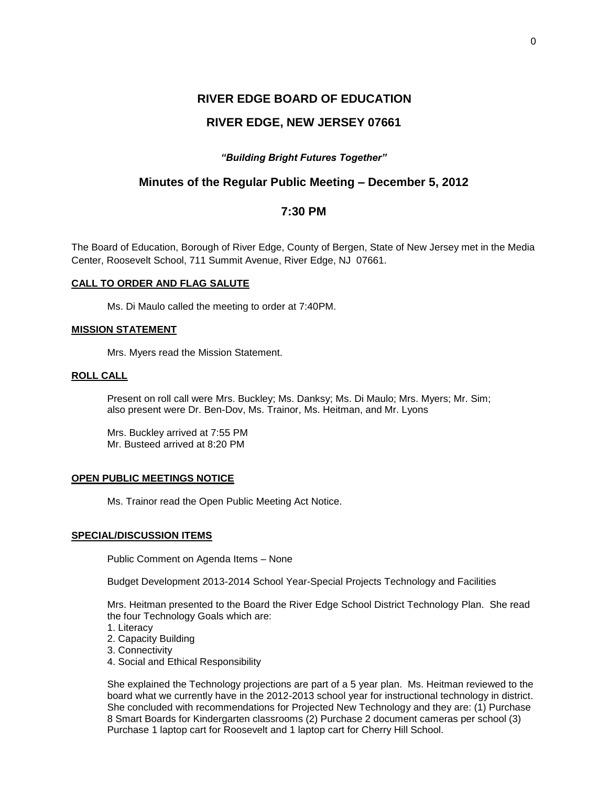# **RIVER EDGE BOARD OF EDUCATION RIVER EDGE, NEW JERSEY 07661**

## *"Building Bright Futures Together"*

# **Minutes of the Regular Public Meeting – December 5, 2012**

# **7:30 PM**

The Board of Education, Borough of River Edge, County of Bergen, State of New Jersey met in the Media Center, Roosevelt School, 711 Summit Avenue, River Edge, NJ 07661.

#### **CALL TO ORDER AND FLAG SALUTE**

Ms. Di Maulo called the meeting to order at 7:40PM.

#### **MISSION STATEMENT**

Mrs. Myers read the Mission Statement.

#### **ROLL CALL**

Present on roll call were Mrs. Buckley; Ms. Danksy; Ms. Di Maulo; Mrs. Myers; Mr. Sim; also present were Dr. Ben-Dov, Ms. Trainor, Ms. Heitman, and Mr. Lyons

Mrs. Buckley arrived at 7:55 PM Mr. Busteed arrived at 8:20 PM

#### **OPEN PUBLIC MEETINGS NOTICE**

Ms. Trainor read the Open Public Meeting Act Notice.

#### **SPECIAL/DISCUSSION ITEMS**

Public Comment on Agenda Items – None

Budget Development 2013-2014 School Year-Special Projects Technology and Facilities

Mrs. Heitman presented to the Board the River Edge School District Technology Plan. She read the four Technology Goals which are:

- 1. Literacy
- 2. Capacity Building
- 3. Connectivity
- 4. Social and Ethical Responsibility

She explained the Technology projections are part of a 5 year plan. Ms. Heitman reviewed to the board what we currently have in the 2012-2013 school year for instructional technology in district. She concluded with recommendations for Projected New Technology and they are: (1) Purchase 8 Smart Boards for Kindergarten classrooms (2) Purchase 2 document cameras per school (3) Purchase 1 laptop cart for Roosevelt and 1 laptop cart for Cherry Hill School.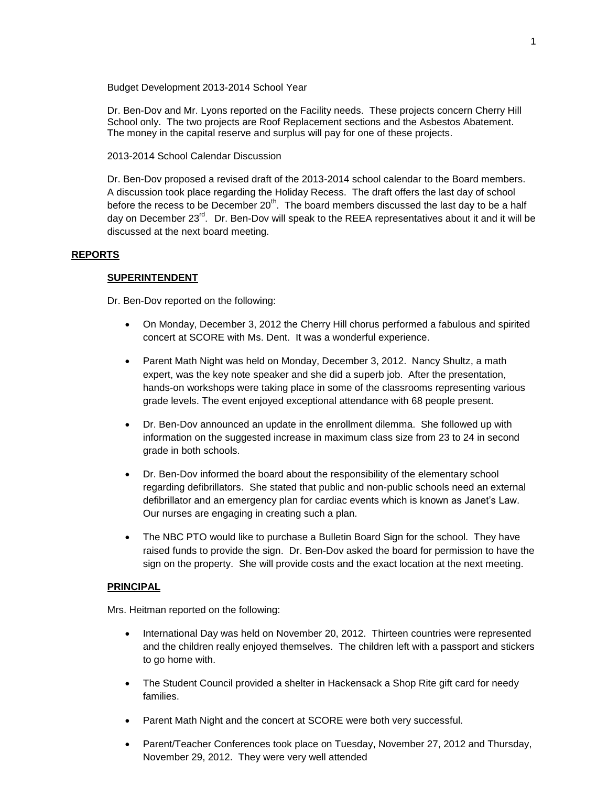Budget Development 2013-2014 School Year

Dr. Ben-Dov and Mr. Lyons reported on the Facility needs. These projects concern Cherry Hill School only. The two projects are Roof Replacement sections and the Asbestos Abatement. The money in the capital reserve and surplus will pay for one of these projects.

2013-2014 School Calendar Discussion

Dr. Ben-Dov proposed a revised draft of the 2013-2014 school calendar to the Board members. A discussion took place regarding the Holiday Recess. The draft offers the last day of school before the recess to be December 20<sup>th</sup>. The board members discussed the last day to be a half day on December 23<sup>rd</sup>. Dr. Ben-Dov will speak to the REEA representatives about it and it will be discussed at the next board meeting.

#### **REPORTS**

#### **SUPERINTENDENT**

Dr. Ben-Dov reported on the following:

- On Monday, December 3, 2012 the Cherry Hill chorus performed a fabulous and spirited concert at SCORE with Ms. Dent. It was a wonderful experience.
- Parent Math Night was held on Monday, December 3, 2012. Nancy Shultz, a math expert, was the key note speaker and she did a superb job. After the presentation, hands-on workshops were taking place in some of the classrooms representing various grade levels. The event enjoyed exceptional attendance with 68 people present.
- Dr. Ben-Dov announced an update in the enrollment dilemma. She followed up with information on the suggested increase in maximum class size from 23 to 24 in second grade in both schools.
- Dr. Ben-Dov informed the board about the responsibility of the elementary school regarding defibrillators. She stated that public and non-public schools need an external defibrillator and an emergency plan for cardiac events which is known as Janet's Law. Our nurses are engaging in creating such a plan.
- The NBC PTO would like to purchase a Bulletin Board Sign for the school. They have raised funds to provide the sign. Dr. Ben-Dov asked the board for permission to have the sign on the property. She will provide costs and the exact location at the next meeting.

#### **PRINCIPAL**

Mrs. Heitman reported on the following:

- International Day was held on November 20, 2012. Thirteen countries were represented and the children really enjoyed themselves. The children left with a passport and stickers to go home with.
- The Student Council provided a shelter in Hackensack a Shop Rite gift card for needy families.
- Parent Math Night and the concert at SCORE were both very successful.
- Parent/Teacher Conferences took place on Tuesday, November 27, 2012 and Thursday, November 29, 2012. They were very well attended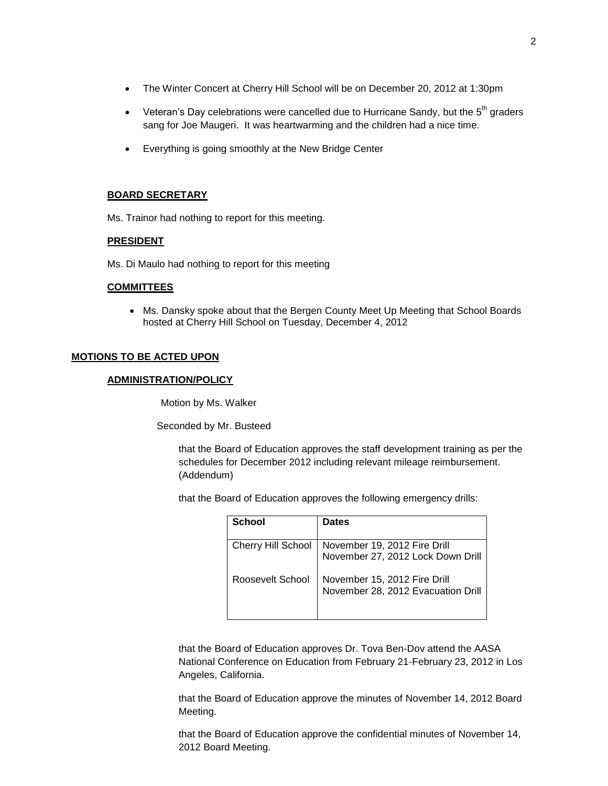- The Winter Concert at Cherry Hill School will be on December 20, 2012 at 1:30pm
- Veteran's Day celebrations were cancelled due to Hurricane Sandy, but the  $5<sup>th</sup>$  graders sang for Joe Maugeri. It was heartwarming and the children had a nice time.
- Everything is going smoothly at the New Bridge Center

## **BOARD SECRETARY**

Ms. Trainor had nothing to report for this meeting.

#### **PRESIDENT**

Ms. Di Maulo had nothing to report for this meeting

#### **COMMITTEES**

 Ms. Dansky spoke about that the Bergen County Meet Up Meeting that School Boards hosted at Cherry Hill School on Tuesday, December 4, 2012

## **MOTIONS TO BE ACTED UPON**

#### **ADMINISTRATION/POLICY**

Motion by Ms. Walker

Seconded by Mr. Busteed

that the Board of Education approves the staff development training as per the schedules for December 2012 including relevant mileage reimbursement. (Addendum)

that the Board of Education approves the following emergency drills:

| <b>School</b>             | <b>Dates</b>                                                      |
|---------------------------|-------------------------------------------------------------------|
|                           |                                                                   |
| <b>Cherry Hill School</b> | November 19, 2012 Fire Drill<br>November 27, 2012 Lock Down Drill |
|                           |                                                                   |
| Roosevelt School          | November 15, 2012 Fire Drill                                      |
|                           | November 28, 2012 Evacuation Drill                                |
|                           |                                                                   |

that the Board of Education approves Dr. Tova Ben-Dov attend the AASA National Conference on Education from February 21-February 23, 2012 in Los Angeles, California.

that the Board of Education approve the minutes of November 14, 2012 Board Meeting.

that the Board of Education approve the confidential minutes of November 14, 2012 Board Meeting.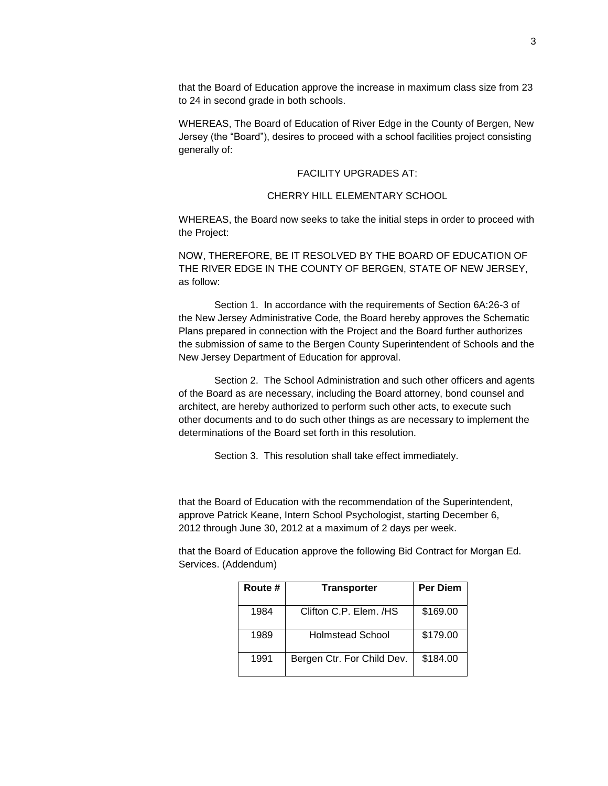that the Board of Education approve the increase in maximum class size from 23 to 24 in second grade in both schools.

WHEREAS, The Board of Education of River Edge in the County of Bergen, New Jersey (the "Board"), desires to proceed with a school facilities project consisting generally of:

#### FACILITY UPGRADES AT:

# CHERRY HILL ELEMENTARY SCHOOL

WHEREAS, the Board now seeks to take the initial steps in order to proceed with the Project:

NOW, THEREFORE, BE IT RESOLVED BY THE BOARD OF EDUCATION OF THE RIVER EDGE IN THE COUNTY OF BERGEN, STATE OF NEW JERSEY, as follow:

Section 1. In accordance with the requirements of Section 6A:26-3 of the New Jersey Administrative Code, the Board hereby approves the Schematic Plans prepared in connection with the Project and the Board further authorizes the submission of same to the Bergen County Superintendent of Schools and the New Jersey Department of Education for approval.

Section 2. The School Administration and such other officers and agents of the Board as are necessary, including the Board attorney, bond counsel and architect, are hereby authorized to perform such other acts, to execute such other documents and to do such other things as are necessary to implement the determinations of the Board set forth in this resolution.

Section 3. This resolution shall take effect immediately.

that the Board of Education with the recommendation of the Superintendent, approve Patrick Keane, Intern School Psychologist, starting December 6, 2012 through June 30, 2012 at a maximum of 2 days per week.

that the Board of Education approve the following Bid Contract for Morgan Ed. Services. (Addendum)

| Route # | <b>Transporter</b>         | <b>Per Diem</b> |
|---------|----------------------------|-----------------|
| 1984    | Clifton C.P. Elem. /HS     | \$169.00        |
| 1989    | Holmstead School           | \$179.00        |
| 1991    | Bergen Ctr. For Child Dev. | \$184.00        |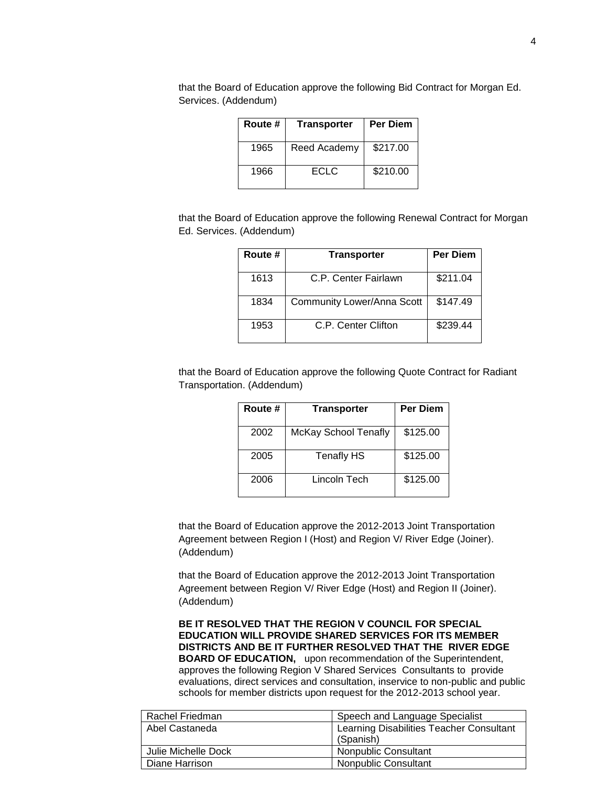| Route # | <b>Transporter</b> | <b>Per Diem</b> |
|---------|--------------------|-----------------|
| 1965    | Reed Academy       | \$217.00        |
| 1966    | <b>ECLC</b>        | \$210.00        |

that the Board of Education approve the following Bid Contract for Morgan Ed. Services. (Addendum)

that the Board of Education approve the following Renewal Contract for Morgan Ed. Services. (Addendum)

| Route # | <b>Transporter</b>                | <b>Per Diem</b> |
|---------|-----------------------------------|-----------------|
| 1613    | C.P. Center Fairlawn              | \$211.04        |
| 1834    | <b>Community Lower/Anna Scott</b> | \$147.49        |
| 1953    | C.P. Center Clifton               | \$239.44        |

that the Board of Education approve the following Quote Contract for Radiant Transportation. (Addendum)

| Route # | <b>Transporter</b>   | <b>Per Diem</b> |
|---------|----------------------|-----------------|
| 2002    | McKay School Tenafly | \$125.00        |
| 2005    | Tenafly HS           | \$125.00        |
| 2006    | Lincoln Tech         | \$125.00        |

that the Board of Education approve the 2012-2013 Joint Transportation Agreement between Region I (Host) and Region V/ River Edge (Joiner). (Addendum)

that the Board of Education approve the 2012-2013 Joint Transportation Agreement between Region V/ River Edge (Host) and Region II (Joiner). (Addendum)

**BE IT RESOLVED THAT THE REGION V COUNCIL FOR SPECIAL EDUCATION WILL PROVIDE SHARED SERVICES FOR ITS MEMBER DISTRICTS AND BE IT FURTHER RESOLVED THAT THE RIVER EDGE BOARD OF EDUCATION,** upon recommendation of the Superintendent, approves the following Region V Shared Services Consultants to provide evaluations, direct services and consultation, inservice to non-public and public schools for member districts upon request for the 2012-2013 school year.

| Rachel Friedman     | Speech and Language Specialist                        |
|---------------------|-------------------------------------------------------|
| Abel Castaneda      | Learning Disabilities Teacher Consultant<br>(Spanish) |
| Julie Michelle Dock | Nonpublic Consultant                                  |
| Diane Harrison      | <b>Nonpublic Consultant</b>                           |